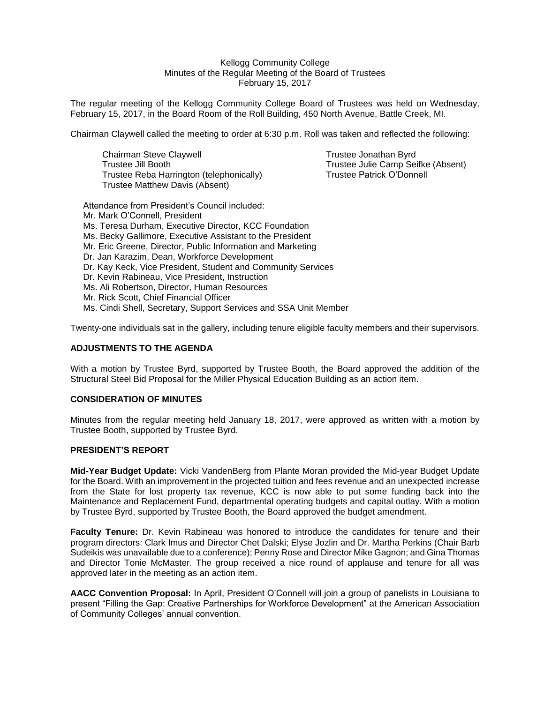Kellogg Community College Minutes of the Regular Meeting of the Board of Trustees February 15, 2017

The regular meeting of the Kellogg Community College Board of Trustees was held on Wednesday, February 15, 2017, in the Board Room of the Roll Building, 450 North Avenue, Battle Creek, MI.

Chairman Claywell called the meeting to order at 6:30 p.m. Roll was taken and reflected the following:

Chairman Steve Claywell Trustee Jonathan Byrd Trustee Jill Booth Trustee Julie Camp Seifke (Absent) Trustee Reba Harrington (telephonically) Trustee Patrick O'Donnell Trustee Matthew Davis (Absent)

Attendance from President's Council included: Mr. Mark O'Connell, President Ms. Teresa Durham, Executive Director, KCC Foundation Ms. Becky Gallimore, Executive Assistant to the President Mr. Eric Greene, Director, Public Information and Marketing Dr. Jan Karazim, Dean, Workforce Development Dr. Kay Keck, Vice President, Student and Community Services Dr. Kevin Rabineau, Vice President, Instruction Ms. Ali Robertson, Director, Human Resources Mr. Rick Scott, Chief Financial Officer Ms. Cindi Shell, Secretary, Support Services and SSA Unit Member

Twenty-one individuals sat in the gallery, including tenure eligible faculty members and their supervisors.

## **ADJUSTMENTS TO THE AGENDA**

With a motion by Trustee Byrd, supported by Trustee Booth, the Board approved the addition of the Structural Steel Bid Proposal for the Miller Physical Education Building as an action item.

### **CONSIDERATION OF MINUTES**

Minutes from the regular meeting held January 18, 2017, were approved as written with a motion by Trustee Booth, supported by Trustee Byrd.

#### **PRESIDENT'S REPORT**

**Mid-Year Budget Update:** Vicki VandenBerg from Plante Moran provided the Mid-year Budget Update for the Board. With an improvement in the projected tuition and fees revenue and an unexpected increase from the State for lost property tax revenue, KCC is now able to put some funding back into the Maintenance and Replacement Fund, departmental operating budgets and capital outlay. With a motion by Trustee Byrd, supported by Trustee Booth, the Board approved the budget amendment.

**Faculty Tenure:** Dr. Kevin Rabineau was honored to introduce the candidates for tenure and their program directors: Clark Imus and Director Chet Dalski; Elyse Jozlin and Dr. Martha Perkins (Chair Barb Sudeikis was unavailable due to a conference); Penny Rose and Director Mike Gagnon; and Gina Thomas and Director Tonie McMaster. The group received a nice round of applause and tenure for all was approved later in the meeting as an action item.

**AACC Convention Proposal:** In April, President O'Connell will join a group of panelists in Louisiana to present "Filling the Gap: Creative Partnerships for Workforce Development" at the American Association of Community Colleges' annual convention.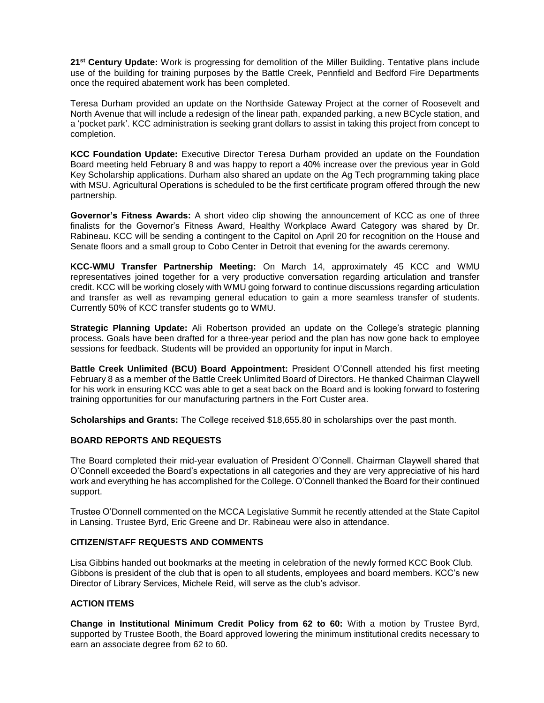**21st Century Update:** Work is progressing for demolition of the Miller Building. Tentative plans include use of the building for training purposes by the Battle Creek, Pennfield and Bedford Fire Departments once the required abatement work has been completed.

Teresa Durham provided an update on the Northside Gateway Project at the corner of Roosevelt and North Avenue that will include a redesign of the linear path, expanded parking, a new BCycle station, and a 'pocket park'. KCC administration is seeking grant dollars to assist in taking this project from concept to completion.

**KCC Foundation Update:** Executive Director Teresa Durham provided an update on the Foundation Board meeting held February 8 and was happy to report a 40% increase over the previous year in Gold Key Scholarship applications. Durham also shared an update on the Ag Tech programming taking place with MSU. Agricultural Operations is scheduled to be the first certificate program offered through the new partnership.

**Governor's Fitness Awards:** A short video clip showing the announcement of KCC as one of three finalists for the Governor's Fitness Award, Healthy Workplace Award Category was shared by Dr. Rabineau. KCC will be sending a contingent to the Capitol on April 20 for recognition on the House and Senate floors and a small group to Cobo Center in Detroit that evening for the awards ceremony.

**KCC-WMU Transfer Partnership Meeting:** On March 14, approximately 45 KCC and WMU representatives joined together for a very productive conversation regarding articulation and transfer credit. KCC will be working closely with WMU going forward to continue discussions regarding articulation and transfer as well as revamping general education to gain a more seamless transfer of students. Currently 50% of KCC transfer students go to WMU.

**Strategic Planning Update:** Ali Robertson provided an update on the College's strategic planning process. Goals have been drafted for a three-year period and the plan has now gone back to employee sessions for feedback. Students will be provided an opportunity for input in March.

**Battle Creek Unlimited (BCU) Board Appointment:** President O'Connell attended his first meeting February 8 as a member of the Battle Creek Unlimited Board of Directors. He thanked Chairman Claywell for his work in ensuring KCC was able to get a seat back on the Board and is looking forward to fostering training opportunities for our manufacturing partners in the Fort Custer area.

**Scholarships and Grants:** The College received \$18,655.80 in scholarships over the past month.

# **BOARD REPORTS AND REQUESTS**

The Board completed their mid-year evaluation of President O'Connell. Chairman Claywell shared that O'Connell exceeded the Board's expectations in all categories and they are very appreciative of his hard work and everything he has accomplished for the College. O'Connell thanked the Board for their continued support.

Trustee O'Donnell commented on the MCCA Legislative Summit he recently attended at the State Capitol in Lansing. Trustee Byrd, Eric Greene and Dr. Rabineau were also in attendance.

# **CITIZEN/STAFF REQUESTS AND COMMENTS**

Lisa Gibbins handed out bookmarks at the meeting in celebration of the newly formed KCC Book Club. Gibbons is president of the club that is open to all students, employees and board members. KCC's new Director of Library Services, Michele Reid, will serve as the club's advisor.

## **ACTION ITEMS**

**Change in Institutional Minimum Credit Policy from 62 to 60:** With a motion by Trustee Byrd, supported by Trustee Booth, the Board approved lowering the minimum institutional credits necessary to earn an associate degree from 62 to 60.